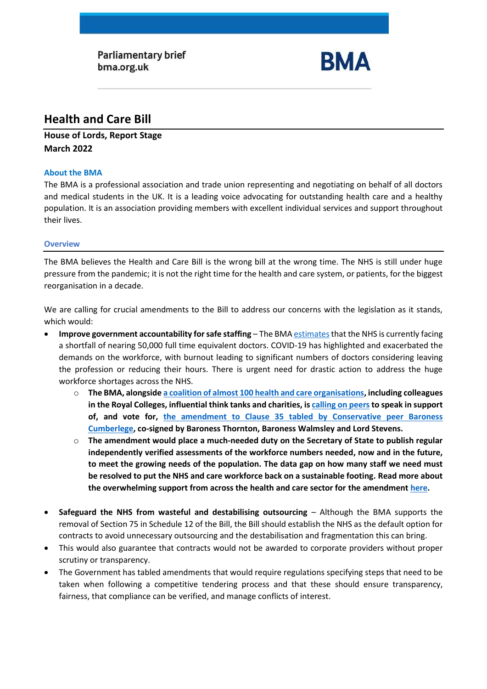**Parliamentary brief** bma.org.uk



# **Health and Care Bill**

## **House of Lords, Report Stage March 2022**

## **About the BMA**

The BMA is a professional association and trade union representing and negotiating on behalf of all doctors and medical students in the UK. It is a leading voice advocating for outstanding health care and a healthy population. It is an association providing members with excellent individual services and support throughout their lives.

## **Overview**

The BMA believes the Health and Care Bill is the wrong bill at the wrong time. The NHS is still under huge pressure from the pandemic; it is not the right time for the health and care system, or patients, for the biggest reorganisation in a decade.

We are calling for crucial amendments to the Bill to address our concerns with the legislation as it stands, which would:

- **Improve government accountability for safe staffing** The BMA estimates that the NHS is currently facing a shortfall of nearing 50,000 full time equivalent doctors. COVID-19 has highlighted and exacerbated the demands on the workforce, with burnout leading to significant numbers of doctors considering leaving the profession or reducing their hours. There is urgent need for drastic action to address the huge workforce shortages across the NHS.
	- o **The BMA, alongsid[e a coalition of almost 100 health and care organisations,](https://www.rcplondon.ac.uk/guidelines-policy/strength-numbers-stronger-workforce-planning-health-and-care-bill) including colleagues in the Royal Colleges, influential think tanks and charities, i[s calling on peers](https://www.bma.org.uk/media/5133/bma-workforce-planning-coalition-briefing-for-report-stage_march-2022.pdf)to speak in support of, and vote for, the amendment to Clause 35 [tabled by Conservative peer Baroness](https://bills.parliament.uk/bills/3022/stages/16122/amendments/91371)  [Cumberlege,](https://bills.parliament.uk/bills/3022/stages/16122/amendments/91371) co-signed by Baroness Thornton, Baroness Walmsley and Lord Stevens.**
	- o **The amendment would place a much-needed duty on the Secretary of State to publish regular independently verified assessments of the workforce numbers needed, now and in the future, to meet the growing needs of the population. The data gap on how many staff we need must be resolved to put the NHS and care workforce back on a sustainable footing. Read more about the overwhelming support from across the health and care sector for the amendment [here.](https://www.rcplondon.ac.uk/guidelines-policy/strength-numbers-stronger-workforce-planning-health-and-care-bill)**
- **Safeguard the NHS from wasteful and destabilising outsourcing** Although the BMA supports the removal of Section 75 in Schedule 12 of the Bill, the Bill should establish the NHS as the default option for contracts to avoid unnecessary outsourcing and the destabilisation and fragmentation this can bring.
- This would also guarantee that contracts would not be awarded to corporate providers without proper scrutiny or transparency.
- The Government has tabled amendments that would require regulations specifying steps that need to be taken when following a competitive tendering process and that these should ensure transparency, fairness, that compliance can be verified, and manage conflicts of interest.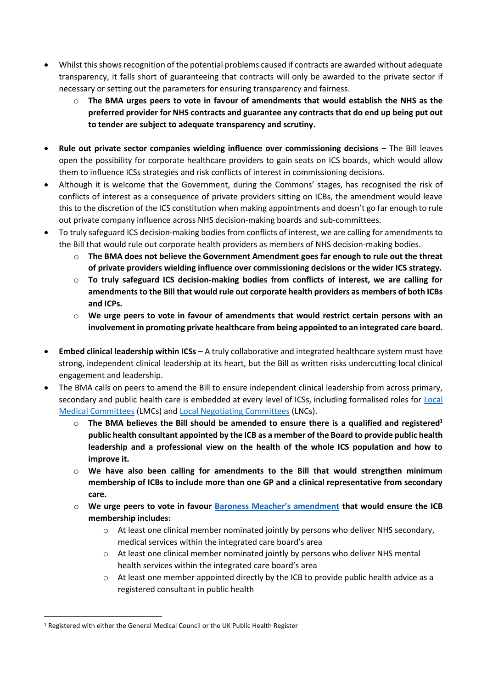- Whilst this shows recognition of the potential problems caused if contracts are awarded without adequate transparency, it falls short of guaranteeing that contracts will only be awarded to the private sector if necessary or setting out the parameters for ensuring transparency and fairness.
	- o **The BMA urges peers to vote in favour of amendments that would establish the NHS as the preferred provider for NHS contracts and guarantee any contracts that do end up being put out to tender are subject to adequate transparency and scrutiny.**
- **Rule out private sector companies wielding influence over commissioning decisions** The Bill leaves open the possibility for corporate healthcare providers to gain seats on ICS boards, which would allow them to influence ICSs strategies and risk conflicts of interest in commissioning decisions.
- Although it is welcome that the Government, during the Commons' stages, has recognised the risk of conflicts of interest as a consequence of private providers sitting on ICBs, the amendment would leave this to the discretion of the ICS constitution when making appointments and doesn't go far enough to rule out private company influence across NHS decision-making boards and sub-committees.
- To truly safeguard ICS decision-making bodies from conflicts of interest, we are calling for amendments to the Bill that would rule out corporate health providers as members of NHS decision-making bodies.
	- o **The BMA does not believe the Government Amendment goes far enough to rule out the threat of private providers wielding influence over commissioning decisions or the wider ICS strategy.**
	- o **To truly safeguard ICS decision-making bodies from conflicts of interest, we are calling for amendments to the Bill that would rule out corporate health providers as members of both ICBs and ICPs.**
	- o **We urge peers to vote in favour of amendments that would restrict certain persons with an involvement in promoting private healthcare from being appointed to an integrated care board.**
- **Embed clinical leadership within ICSs** A truly collaborative and integrated healthcare system must have strong, independent clinical leadership at its heart, but the Bill as written risks undercutting local clinical engagement and leadership.
- The BMA calls on peers to amend the Bill to ensure independent clinical leadership from across primary, secondary and public health care is embedded at every level of ICSs, including formalised roles for [Local](https://www.bma.org.uk/what-we-do/local-medical-committees)  [Medical Committees](https://www.bma.org.uk/what-we-do/local-medical-committees) (LMCs) an[d Local Negotiating Committees](https://www.bma.org.uk/what-we-do/local-negotiating-committees) (LNCs).
	- o **The BMA believes the Bill should be amended to ensure there is a qualified and registered<sup>1</sup> public health consultant appointed by the ICB as a member of the Board to provide public health leadership and a professional view on the health of the whole ICS population and how to improve it.**
	- o **We have also been calling for amendments to the Bill that would strengthen minimum membership of ICBs to include more than one GP and a clinical representative from secondary care.**
	- o **We urge peers to vote in favour [Baroness Meacher's amendment](https://bills.parliament.uk/bills/3022/stages/16122/amendments/91511) that would ensure the ICB membership includes:** 
		- o At least one clinical member nominated jointly by persons who deliver NHS secondary, medical services within the integrated care board's area
		- o At least one clinical member nominated jointly by persons who deliver NHS mental health services within the integrated care board's area
		- $\circ$  At least one member appointed directly by the ICB to provide public health advice as a registered consultant in public health

<sup>1</sup> Registered with either the General Medical Council or the UK Public Health Register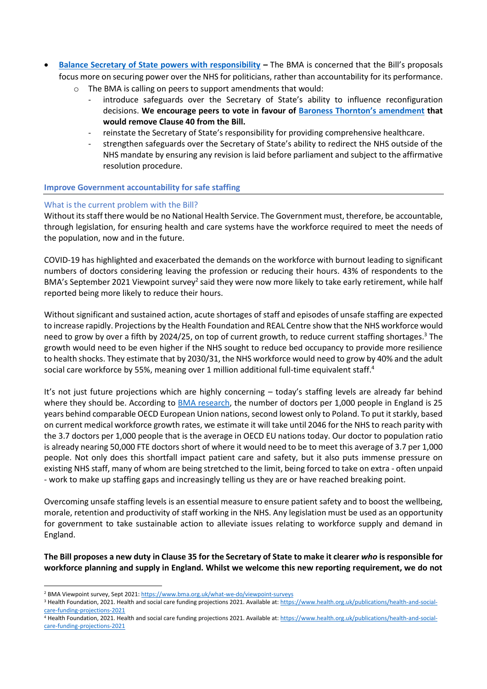- **[Balance Secretary of State powers with responsibility](#page-7-0) –** The BMA is concerned that the Bill's proposals focus more on securing power over the NHS for politicians, rather than accountability for its performance.
	- o The BMA is calling on peers to support amendments that would:
		- introduce safeguards over the Secretary of State's ability to influence reconfiguration decisions. **We encourage peers to vote in favour of [Baroness Thornton's amendment](https://bills.parliament.uk/bills/3022/stages/16122/amendments/91381) that would remove Clause 40 from the Bill.**
		- reinstate the Secretary of State's responsibility for providing comprehensive healthcare.
		- strengthen safeguards over the Secretary of State's ability to redirect the NHS outside of the NHS mandate by ensuring any revision is laid before parliament and subject to the affirmative resolution procedure.

## **Improve Government accountability for safe staffing**

#### What is the current problem with the Bill?

Without its staff there would be no National Health Service. The Government must, therefore, be accountable, through legislation, for ensuring health and care systems have the workforce required to meet the needs of the population, now and in the future.

COVID-19 has highlighted and exacerbated the demands on the workforce with burnout leading to significant numbers of doctors considering leaving the profession or reducing their hours. 43% of respondents to the BMA's September 2021 Viewpoint survey<sup>2</sup> said they were now more likely to take early retirement, while half reported being more likely to reduce their hours.

Without significant and sustained action, acute shortages of staff and episodes of unsafe staffing are expected to increase rapidly. Projections by the Health Foundation and REAL Centre show that the NHS workforce would need to grow by over a fifth by 2024/25, on top of current growth, to reduce current staffing shortages.<sup>3</sup> The growth would need to be even higher if the NHS sought to reduce bed occupancy to provide more resilience to health shocks. They estimate that by 2030/31, the NHS workforce would need to grow by 40% and the adult social care workforce by 55%, meaning over 1 million additional full-time equivalent staff.<sup>4</sup>

It's not just future projections which are highly concerning – today's staffing levels are already far behind where they should be. According to [BMA research,](https://www.bma.org.uk/advice-and-support/nhs-delivery-and-workforce/workforce/medical-staffing-in-england-report) the number of doctors per 1,000 people in England is 25 years behind comparable OECD European Union nations, second lowest only to Poland. To put it starkly, based on current medical workforce growth rates, we estimate it will take until 2046 for the NHS to reach parity with the 3.7 doctors per 1,000 people that is the average in OECD EU nations today. Our doctor to population ratio is already nearing 50,000 FTE doctors short of where it would need to be to meet this average of 3.7 per 1,000 people. Not only does this shortfall impact patient care and safety, but it also puts immense pressure on existing NHS staff, many of whom are being stretched to the limit, being forced to take on extra - often unpaid - work to make up staffing gaps and increasingly telling us they are or have reached breaking point.

Overcoming unsafe staffing levels is an essential measure to ensure patient safety and to boost the wellbeing, morale, retention and productivity of staff working in the NHS. Any legislation must be used as an opportunity for government to take sustainable action to alleviate issues relating to workforce supply and demand in England.

**The Bill proposes a new duty in Clause 35 for the Secretary of State to make it clearer** *who* **is responsible for workforce planning and supply in England. Whilst we welcome this new reporting requirement, we do not** 

4 Health Foundation, 2021. Health and social care funding projections 2021. Available at: [https://www.health.org.uk/publications/health-and-social](https://www.health.org.uk/publications/health-and-social-care-funding-projections-2021)[care-funding-projections-2021](https://www.health.org.uk/publications/health-and-social-care-funding-projections-2021)

<sup>&</sup>lt;sup>2</sup> BMA Viewpoint survey, Sept 2021[: https://www.bma.org.uk/what-we-do/viewpoint-surveys](https://www.bma.org.uk/what-we-do/viewpoint-surveys)

<sup>&</sup>lt;sup>3</sup> Health Foundation, 2021. Health and social care funding projections 2021. Available at: [https://www.health.org.uk/publications/health-and-social](https://www.health.org.uk/publications/health-and-social-care-funding-projections-2021)[care-funding-projections-2021](https://www.health.org.uk/publications/health-and-social-care-funding-projections-2021)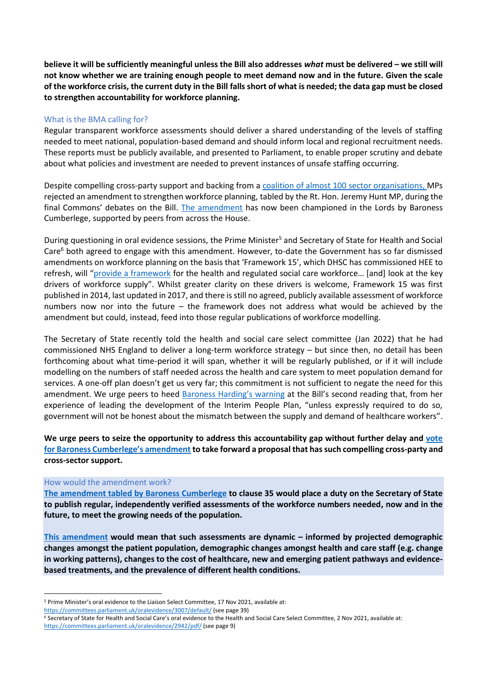**believe it will be sufficiently meaningful unless the Bill also addresses** *what* **must be delivered – we still will not know whether we are training enough people to meet demand now and in the future. Given the scale of the workforce crisis, the current duty in the Bill falls short of what is needed; the data gap must be closed to strengthen accountability for workforce planning.**

#### What is the BMA calling for?

Regular transparent workforce assessments should deliver a shared understanding of the levels of staffing needed to meet national, population-based demand and should inform local and regional recruitment needs. These reports must be publicly available, and presented to Parliament, to enable proper scrutiny and debate about what policies and investment are needed to prevent instances of unsafe staffing occurring.

Despite compelling cross-party support and backing from a [coalition of almost 100](https://www.rcplondon.ac.uk/guidelines-policy/strength-numbers-stronger-workforce-planning-health-and-care-bill) sector organisations, MPs rejected an amendment to strengthen workforce planning, tabled by the Rt. Hon. Jeremy Hunt MP, during the final Commons' debates on the Bill. [The amendment](https://bills.parliament.uk/bills/3022/stages/16122/amendments/91371) has now been championed in the Lords by Baroness Cumberlege, supported by peers from across the House.

During questioning in oral evidence sessions, the Prime Minister<sup>5</sup> and Secretary of State for Health and Social Care<sup>6</sup> both agreed to engage with this amendment. However, to-date the Government has so far dismissed amendments on workforce planning on the basis that 'Framework 15', which DHSC has commissioned HEE to refresh, will "[provide a framework](https://hansard.parliament.uk/lords/2021-12-07/debates/B05FC5DC-E095-444F-83E3-BD40BF226078/HealthAndCareBill#contribution-15A3D12F-6F70-4AE4-A4DE-5B4D7FF3B9F9) for the health and regulated social care workforce… [and] look at the key drivers of workforce supply". Whilst greater clarity on these drivers is welcome, Framework 15 was first published in 2014, last updated in 2017, and there isstill no agreed, publicly available assessment of workforce numbers now nor into the future – the framework does not address what would be achieved by the amendment but could, instead, feed into those regular publications of workforce modelling.

The Secretary of State recently told the health and social care select committee (Jan 2022) that he had commissioned NHS England to deliver a long-term workforce strategy – but since then, no detail has been forthcoming about what time-period it will span, whether it will be regularly published, or if it will include modelling on the numbers of staff needed across the health and care system to meet population demand for services. A one-off plan doesn't get us very far; this commitment is not sufficient to negate the need for this amendment. We urge peers to heed [Baroness Harding's](https://hansard.parliament.uk/lords/2021-12-07/debates/B05FC5DC-E095-444F-83E3-BD40BF226078/HealthAndCareBill#contribution-DE82CD07-8E79-4EFC-8C5F-D7DEAA6B7325) warning at the Bill's second reading that, from her experience of leading the development of the Interim People Plan, "unless expressly required to do so, government will not be honest about the mismatch between the supply and demand of healthcare workers".

**We urge peers to seize the opportunity to address this accountability gap without further delay and [vote](https://www.bma.org.uk/media/5133/bma-workforce-planning-coalition-briefing-for-report-stage_march-2022.pdf)  [for Baroness Cumberlege's amendment](https://www.bma.org.uk/media/5133/bma-workforce-planning-coalition-briefing-for-report-stage_march-2022.pdf) to take forward a proposal that has such compelling cross-party and cross-sector support.**

#### How would the amendment work?

**The amendment [tabled by Baroness Cumberlege](https://bills.parliament.uk/bills/3022/stages/16122/amendments/91371) to clause 35 would place a duty on the Secretary of State to publish regular, independently verified assessments of the workforce numbers needed, now and in the future, to meet the growing needs of the population.**

**[This amendment](https://bills.parliament.uk/bills/3022/stages/16122/amendments/91371) would mean that such assessments are dynamic – informed by projected demographic changes amongst the patient population, demographic changes amongst health and care staff (e.g. change in working patterns), changes to the cost of healthcare, new and emerging patient pathways and evidencebased treatments, and the prevalence of different health conditions.** 

<https://committees.parliament.uk/oralevidence/3007/default/> (see page 39)

<sup>5</sup> Prime Minister's oral evidence to the Liaison Select Committee, 17 Nov 2021, available at:

<sup>6</sup> Secretary of State for Health and Social Care's oral evidence to the Health and Social Care Select Committee, 2 Nov 2021, available at: <https://committees.parliament.uk/oralevidence/2942/pdf/> (see page 9)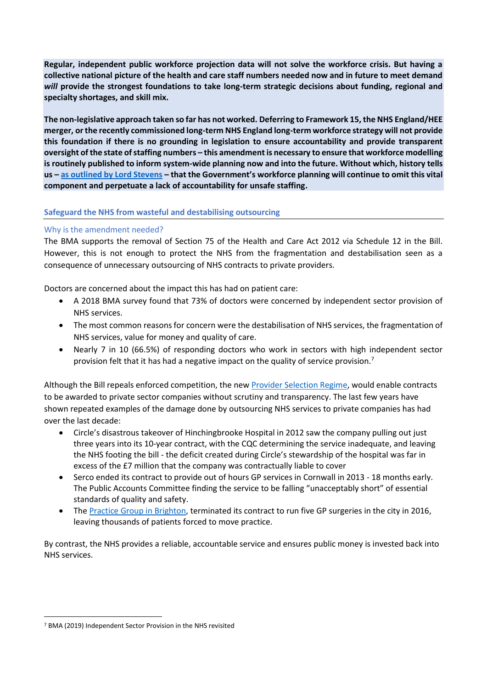**Regular, independent public workforce projection data will not solve the workforce crisis. But having a collective national picture of the health and care staff numbers needed now and in future to meet demand**  *will* **provide the strongest foundations to take long-term strategic decisions about funding, regional and specialty shortages, and skill mix.**

**The non-legislative approach taken so far has not worked. Deferring to Framework 15, the NHS England/HEE merger, or the recently commissioned long-term NHS England long-term workforce strategy will not provide this foundation if there is no grounding in legislation to ensure accountability and provide transparent oversight of the state of staffing numbers – this amendment is necessary to ensure that workforce modelling is routinely published to inform system-wide planning now and into the future. Without which, history tells us – [as outlined by Lord Stevens](https://hansard.parliament.uk/lords/2022-01-24/debates/AB5351C6-2935-446D-847E-CB3C193CDE45/HealthAndCareBill#contribution-DF9AA920-86D6-4DC8-B6C0-CF6EEDB953F1) – that the Government's workforce planning will continue to omit this vital component and perpetuate a lack of accountability for unsafe staffing.** 

## **Safeguard the NHS from wasteful and destabilising outsourcing**

## Why is the amendment needed?

The BMA supports the removal of Section 75 of the Health and Care Act 2012 via Schedule 12 in the Bill. However, this is not enough to protect the NHS from the fragmentation and destabilisation seen as a consequence of unnecessary outsourcing of NHS contracts to private providers.

Doctors are concerned about the impact this has had on patient care:

- A 2018 BMA survey found that 73% of doctors were concerned by independent sector provision of NHS services.
- The most common reasons for concern were the destabilisation of NHS services, the fragmentation of NHS services, value for money and quality of care.
- Nearly 7 in 10 (66.5%) of responding doctors who work in sectors with high independent sector provision felt that it has had a negative impact on the quality of service provision.<sup>7</sup>

Although the Bill repeals enforced competition, the new [Provider Selection Regime,](https://www.england.nhs.uk/wp-content/uploads/2021/02/B0135-provider-selection-regime-consultation.pdf) would enable contracts to be awarded to private sector companies without scrutiny and transparency. The last few years have shown repeated examples of the damage done by outsourcing NHS services to private companies has had over the last decade:

- Circle's disastrous takeover of Hinchingbrooke Hospital in 2012 saw the company pulling out just three years into its 10-year contract, with the CQC determining the service inadequate, and leaving the NHS footing the bill - the deficit created during Circle's stewardship of the hospital was far in excess of the £7 million that the company was contractually liable to cover
- Serco ended its contract to provide out of hours GP services in Cornwall in 2013 18 months early. The Public Accounts Committee finding the service to be falling "unacceptably short" of essential standards of quality and safety.
- The [Practice Group in Brighton,](https://www.pulsetoday.co.uk/news/contract/gp-provider-ditches-11000-patient-contract-as-20-funding-cut-looms/) terminated its contract to run five GP surgeries in the city in 2016, leaving thousands of patients forced to move practice.

By contrast, the NHS provides a reliable, accountable service and ensures public money is invested back into NHS services.

<sup>7</sup> BMA (2019) Independent Sector Provision in the NHS revisited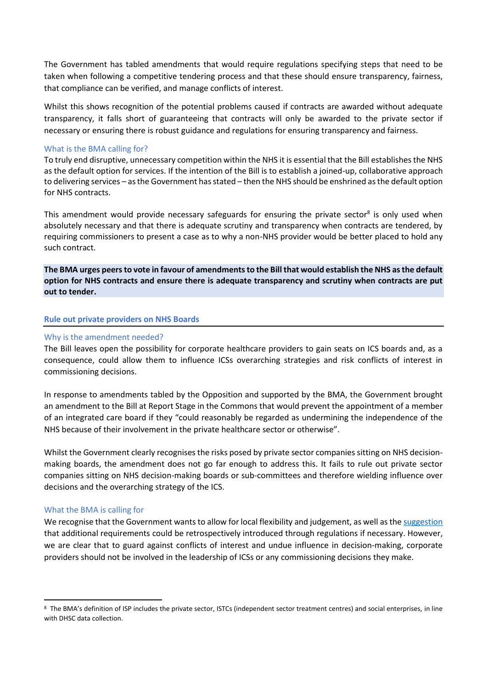The Government has tabled amendments that would require regulations specifying steps that need to be taken when following a competitive tendering process and that these should ensure transparency, fairness, that compliance can be verified, and manage conflicts of interest.

Whilst this shows recognition of the potential problems caused if contracts are awarded without adequate transparency, it falls short of guaranteeing that contracts will only be awarded to the private sector if necessary or ensuring there is robust guidance and regulations for ensuring transparency and fairness.

#### What is the BMA calling for?

To truly end disruptive, unnecessary competition within the NHS it is essential that the Bill establishes the NHS as the default option for services. If the intention of the Bill is to establish a joined-up, collaborative approach to delivering services – as the Government has stated – then the NHS should be enshrined as the default option for NHS contracts.

This amendment would provide necessary safeguards for ensuring the private sector<sup>8</sup> is only used when absolutely necessary and that there is adequate scrutiny and transparency when contracts are tendered, by requiring commissioners to present a case as to why a non-NHS provider would be better placed to hold any such contract.

**The BMA urges peers to vote in favour of amendments to the Bill that would establish the NHS as the default option for NHS contracts and ensure there is adequate transparency and scrutiny when contracts are put out to tender.** 

#### **Rule out private providers on NHS Boards**

#### Why is the amendment needed?

The Bill leaves open the possibility for corporate healthcare providers to gain seats on ICS boards and, as a consequence, could allow them to influence ICSs overarching strategies and risk conflicts of interest in commissioning decisions.

In response to amendments tabled by the Opposition and supported by the BMA, the Government brought an amendment to the Bill at Report Stage in the Commons that would prevent the appointment of a member of an integrated care board if they "could reasonably be regarded as undermining the independence of the NHS because of their involvement in the private healthcare sector or otherwise".

Whilst the Government clearly recognises the risks posed by private sector companies sitting on NHS decisionmaking boards, the amendment does not go far enough to address this. It fails to rule out private sector companies sitting on NHS decision-making boards or sub-committees and therefore wielding influence over decisions and the overarching strategy of the ICS.

#### What the BMA is calling for

We recognise that the Government wants to allow for local flexibility and judgement, as well as th[e suggestion](https://hansard.parliament.uk/lords/2022-01-13/debates/9B2497A1-E4EF-4AA1-B073-2E49E343D035/HealthAndCareBill#contribution-BA8816C5-8310-480C-9439-62267F639897) that additional requirements could be retrospectively introduced through regulations if necessary. However, we are clear that to guard against conflicts of interest and undue influence in decision-making, corporate providers should not be involved in the leadership of ICSs or any commissioning decisions they make.

<sup>&</sup>lt;sup>8</sup> The BMA's definition of ISP includes the private sector, ISTCs (independent sector treatment centres) and social enterprises, in line with DHSC data collection.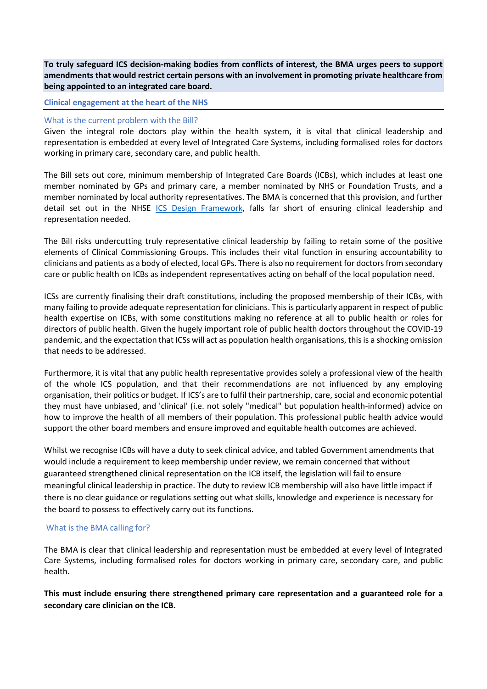**To truly safeguard ICS decision-making bodies from conflicts of interest, the BMA urges peers to support amendments that would restrict certain persons with an involvement in promoting private healthcare from being appointed to an integrated care board.**

#### **Clinical engagement at the heart of the NHS**

#### What is the current problem with the Bill?

Given the integral role doctors play within the health system, it is vital that clinical leadership and representation is embedded at every level of Integrated Care Systems, including formalised roles for doctors working in primary care, secondary care, and public health.

The Bill sets out core, minimum membership of Integrated Care Boards (ICBs), which includes at least one member nominated by GPs and primary care, a member nominated by NHS or Foundation Trusts, and a member nominated by local authority representatives. The BMA is concerned that this provision, and further detail set out in the NHSE [ICS Design Framework,](https://www.england.nhs.uk/publication/integrated-care-systems-design-framework/) falls far short of ensuring clinical leadership and representation needed.

The Bill risks undercutting truly representative clinical leadership by failing to retain some of the positive elements of Clinical Commissioning Groups. This includes their vital function in ensuring accountability to clinicians and patients as a body of elected, local GPs. There is also no requirement for doctors from secondary care or public health on ICBs as independent representatives acting on behalf of the local population need.

ICSs are currently finalising their draft constitutions, including the proposed membership of their ICBs, with many failing to provide adequate representation for clinicians. This is particularly apparent in respect of public health expertise on ICBs, with some constitutions making no reference at all to public health or roles for directors of public health. Given the hugely important role of public health doctors throughout the COVID-19 pandemic, and the expectation that ICSs will act as population health organisations, this is a shocking omission that needs to be addressed.

Furthermore, it is vital that any public health representative provides solely a professional view of the health of the whole ICS population, and that their recommendations are not influenced by any employing organisation, their politics or budget. If ICS's are to fulfil their partnership, care, social and economic potential they must have unbiased, and 'clinical' (i.e. not solely "medical" but population health-informed) advice on how to improve the health of all members of their population. This professional public health advice would support the other board members and ensure improved and equitable health outcomes are achieved.

Whilst we recognise ICBs will have a duty to seek clinical advice, and tabled Government amendments that would include a requirement to keep membership under review, we remain concerned that without guaranteed strengthened clinical representation on the ICB itself, the legislation will fail to ensure meaningful clinical leadership in practice. The duty to review ICB membership will also have little impact if there is no clear guidance or regulations setting out what skills, knowledge and experience is necessary for the board to possess to effectively carry out its functions.

## What is the BMA calling for?

The BMA is clear that clinical leadership and representation must be embedded at every level of Integrated Care Systems, including formalised roles for doctors working in primary care, secondary care, and public health.

**This must include ensuring there strengthened primary care representation and a guaranteed role for a secondary care clinician on the ICB.**